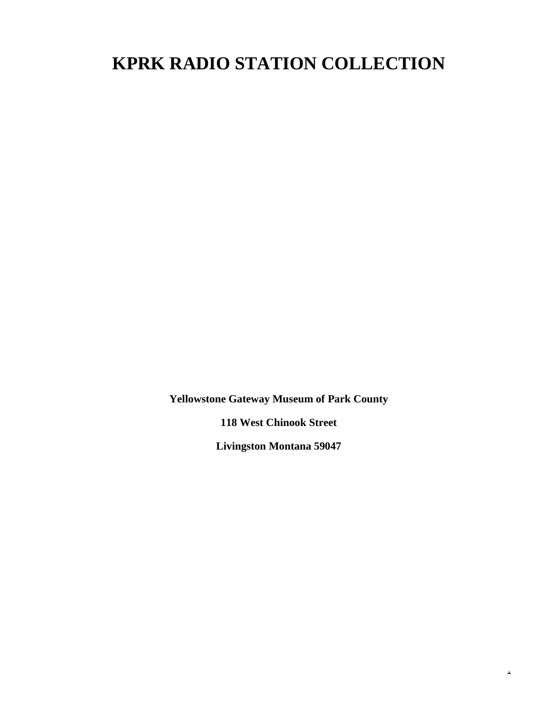# **KPRK RADIO STATION COLLECTION**

**Yellowstone Gateway Museum of Park County**

**118 West Chinook Street**

**Livingston Montana 59047**

 $\Delta$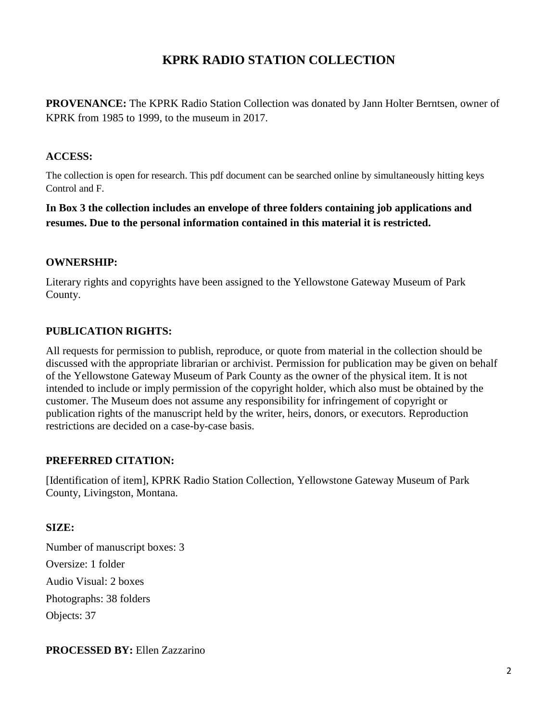# **KPRK RADIO STATION COLLECTION**

**PROVENANCE:** The KPRK Radio Station Collection was donated by Jann Holter Berntsen, owner of KPRK from 1985 to 1999, to the museum in 2017.

#### **ACCESS:**

The collection is open for research. This pdf document can be searched online by simultaneously hitting keys Control and F.

**In Box 3 the collection includes an envelope of three folders containing job applications and resumes. Due to the personal information contained in this material it is restricted.**

#### **OWNERSHIP:**

Literary rights and copyrights have been assigned to the Yellowstone Gateway Museum of Park County.

## **PUBLICATION RIGHTS:**

All requests for permission to publish, reproduce, or quote from material in the collection should be discussed with the appropriate librarian or archivist. Permission for publication may be given on behalf of the Yellowstone Gateway Museum of Park County as the owner of the physical item. It is not intended to include or imply permission of the copyright holder, which also must be obtained by the customer. The Museum does not assume any responsibility for infringement of copyright or publication rights of the manuscript held by the writer, heirs, donors, or executors. Reproduction restrictions are decided on a case-by-case basis.

### **PREFERRED CITATION:**

[Identification of item], KPRK Radio Station Collection, Yellowstone Gateway Museum of Park County, Livingston, Montana.

### **SIZE:**

Number of manuscript boxes: 3 Oversize: 1 folder Audio Visual: 2 boxes Photographs: 38 folders Objects: 37

### **PROCESSED BY:** Ellen Zazzarino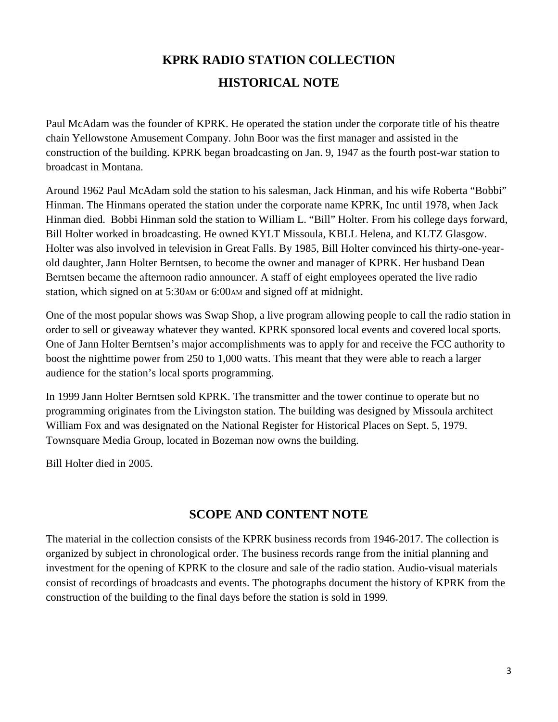# **KPRK RADIO STATION COLLECTION HISTORICAL NOTE**

Paul McAdam was the founder of KPRK. He operated the station under the corporate title of his theatre chain Yellowstone Amusement Company. John Boor was the first manager and assisted in the construction of the building. KPRK began broadcasting on Jan. 9, 1947 as the fourth post-war station to broadcast in Montana.

Around 1962 Paul McAdam sold the station to his salesman, Jack Hinman, and his wife Roberta "Bobbi" Hinman. The Hinmans operated the station under the corporate name KPRK, Inc until 1978, when Jack Hinman died. Bobbi Hinman sold the station to William L. "Bill" Holter. From his college days forward, Bill Holter worked in broadcasting. He owned KYLT Missoula, KBLL Helena, and KLTZ Glasgow. Holter was also involved in television in Great Falls. By 1985, Bill Holter convinced his thirty-one-yearold daughter, Jann Holter Berntsen, to become the owner and manager of KPRK. Her husband Dean Berntsen became the afternoon radio announcer. A staff of eight employees operated the live radio station, which signed on at 5:30 AM or 6:00 AM and signed off at midnight.

One of the most popular shows was Swap Shop, a live program allowing people to call the radio station in order to sell or giveaway whatever they wanted. KPRK sponsored local events and covered local sports. One of Jann Holter Berntsen's major accomplishments was to apply for and receive the FCC authority to boost the nighttime power from 250 to 1,000 watts. This meant that they were able to reach a larger audience for the station's local sports programming.

In 1999 Jann Holter Berntsen sold KPRK. The transmitter and the tower continue to operate but no programming originates from the Livingston station. The building was designed by Missoula architect William Fox and was designated on the National Register for Historical Places on Sept. 5, 1979. Townsquare Media Group, located in Bozeman now owns the building.

Bill Holter died in 2005.

# **SCOPE AND CONTENT NOTE**

The material in the collection consists of the KPRK business records from 1946-2017. The collection is organized by subject in chronological order. The business records range from the initial planning and investment for the opening of KPRK to the closure and sale of the radio station. Audio-visual materials consist of recordings of broadcasts and events. The photographs document the history of KPRK from the construction of the building to the final days before the station is sold in 1999.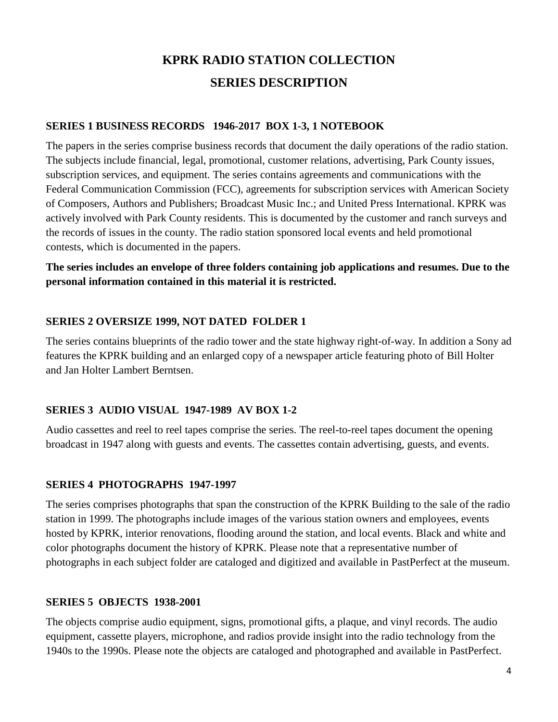# **KPRK RADIO STATION COLLECTION SERIES DESCRIPTION**

#### **SERIES 1 BUSINESS RECORDS 1946-2017 BOX 1-3, 1 NOTEBOOK**

The papers in the series comprise business records that document the daily operations of the radio station. The subjects include financial, legal, promotional, customer relations, advertising, Park County issues, subscription services, and equipment. The series contains agreements and communications with the Federal Communication Commission (FCC), agreements for subscription services with American Society of Composers, Authors and Publishers; Broadcast Music Inc.; and United Press International. KPRK was actively involved with Park County residents. This is documented by the customer and ranch surveys and the records of issues in the county. The radio station sponsored local events and held promotional contests, which is documented in the papers.

## **The series includes an envelope of three folders containing job applications and resumes. Due to the personal information contained in this material it is restricted.**

#### **SERIES 2 OVERSIZE 1999, NOT DATED FOLDER 1**

The series contains blueprints of the radio tower and the state highway right-of-way. In addition a Sony ad features the KPRK building and an enlarged copy of a newspaper article featuring photo of Bill Holter and Jan Holter Lambert Berntsen.

#### **SERIES 3 AUDIO VISUAL 1947-1989 AV BOX 1-2**

Audio cassettes and reel to reel tapes comprise the series. The reel-to-reel tapes document the opening broadcast in 1947 along with guests and events. The cassettes contain advertising, guests, and events.

#### **SERIES 4 PHOTOGRAPHS 1947-1997**

The series comprises photographs that span the construction of the KPRK Building to the sale of the radio station in 1999. The photographs include images of the various station owners and employees, events hosted by KPRK, interior renovations, flooding around the station, and local events. Black and white and color photographs document the history of KPRK. Please note that a representative number of photographs in each subject folder are cataloged and digitized and available in PastPerfect at the museum.

#### **SERIES 5 OBJECTS 1938-2001**

The objects comprise audio equipment, signs, promotional gifts, a plaque, and vinyl records. The audio equipment, cassette players, microphone, and radios provide insight into the radio technology from the 1940s to the 1990s. Please note the objects are cataloged and photographed and available in PastPerfect.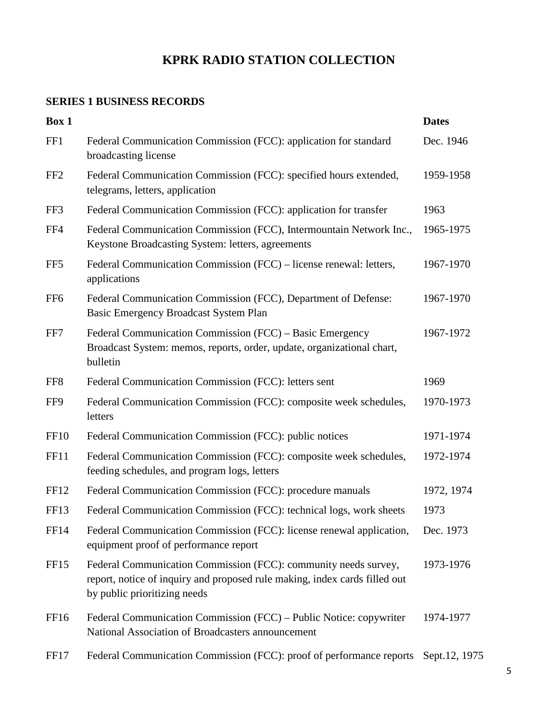# **KPRK RADIO STATION COLLECTION**

# **SERIES 1 BUSINESS RECORDS**

| Box 1            |                                                                                                                                                                               | <b>Dates</b>  |
|------------------|-------------------------------------------------------------------------------------------------------------------------------------------------------------------------------|---------------|
| FF1              | Federal Communication Commission (FCC): application for standard<br>broadcasting license                                                                                      | Dec. 1946     |
| FF <sub>2</sub>  | Federal Communication Commission (FCC): specified hours extended,<br>telegrams, letters, application                                                                          | 1959-1958     |
| FF3              | Federal Communication Commission (FCC): application for transfer                                                                                                              | 1963          |
| FF4              | Federal Communication Commission (FCC), Intermountain Network Inc.,<br>Keystone Broadcasting System: letters, agreements                                                      | 1965-1975     |
| FF <sub>5</sub>  | Federal Communication Commission (FCC) – license renewal: letters,<br>applications                                                                                            | 1967-1970     |
| FF <sub>6</sub>  | Federal Communication Commission (FCC), Department of Defense:<br>Basic Emergency Broadcast System Plan                                                                       | 1967-1970     |
| FF7              | Federal Communication Commission (FCC) – Basic Emergency<br>Broadcast System: memos, reports, order, update, organizational chart,<br>bulletin                                | 1967-1972     |
| FF <sub>8</sub>  | Federal Communication Commission (FCC): letters sent                                                                                                                          | 1969          |
| FF9              | Federal Communication Commission (FCC): composite week schedules,<br>letters                                                                                                  | 1970-1973     |
| <b>FF10</b>      | Federal Communication Commission (FCC): public notices                                                                                                                        | 1971-1974     |
| <b>FF11</b>      | Federal Communication Commission (FCC): composite week schedules,<br>feeding schedules, and program logs, letters                                                             | 1972-1974     |
| FF <sub>12</sub> | Federal Communication Commission (FCC): procedure manuals                                                                                                                     | 1972, 1974    |
| FF <sub>13</sub> | Federal Communication Commission (FCC): technical logs, work sheets                                                                                                           | 1973          |
| <b>FF14</b>      | Federal Communication Commission (FCC): license renewal application,<br>equipment proof of performance report                                                                 | Dec. 1973     |
| FF <sub>15</sub> | Federal Communication Commission (FCC): community needs survey,<br>report, notice of inquiry and proposed rule making, index cards filled out<br>by public prioritizing needs | 1973-1976     |
| FF <sub>16</sub> | Federal Communication Commission (FCC) – Public Notice: copywriter<br>National Association of Broadcasters announcement                                                       | 1974-1977     |
| FF <sub>17</sub> | Federal Communication Commission (FCC): proof of performance reports                                                                                                          | Sept.12, 1975 |
|                  |                                                                                                                                                                               |               |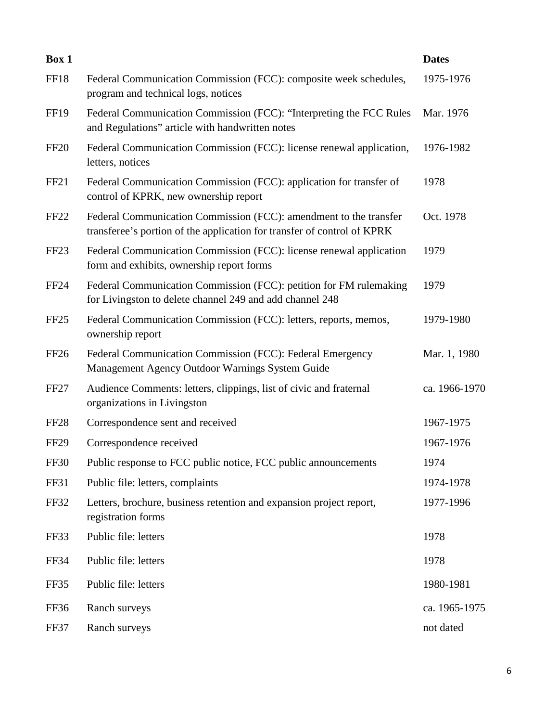| Box 1            |                                                                                                                                              | <b>Dates</b>  |
|------------------|----------------------------------------------------------------------------------------------------------------------------------------------|---------------|
| <b>FF18</b>      | Federal Communication Commission (FCC): composite week schedules,<br>program and technical logs, notices                                     | 1975-1976     |
| <b>FF19</b>      | Federal Communication Commission (FCC): "Interpreting the FCC Rules<br>and Regulations" article with handwritten notes                       | Mar. 1976     |
| <b>FF20</b>      | Federal Communication Commission (FCC): license renewal application,<br>letters, notices                                                     | 1976-1982     |
| FF <sub>21</sub> | Federal Communication Commission (FCC): application for transfer of<br>control of KPRK, new ownership report                                 | 1978          |
| <b>FF22</b>      | Federal Communication Commission (FCC): amendment to the transfer<br>transferee's portion of the application for transfer of control of KPRK | Oct. 1978     |
| FF <sub>23</sub> | Federal Communication Commission (FCC): license renewal application<br>form and exhibits, ownership report forms                             | 1979          |
| FF24             | Federal Communication Commission (FCC): petition for FM rulemaking<br>for Livingston to delete channel 249 and add channel 248               | 1979          |
| FF <sub>25</sub> | Federal Communication Commission (FCC): letters, reports, memos,<br>ownership report                                                         | 1979-1980     |
| <b>FF26</b>      | Federal Communication Commission (FCC): Federal Emergency<br>Management Agency Outdoor Warnings System Guide                                 | Mar. 1, 1980  |
| FF <sub>27</sub> | Audience Comments: letters, clippings, list of civic and fraternal<br>organizations in Livingston                                            | ca. 1966-1970 |
| FF <sub>28</sub> | Correspondence sent and received                                                                                                             | 1967-1975     |
| <b>FF29</b>      | Correspondence received                                                                                                                      | 1967-1976     |
| <b>FF30</b>      | Public response to FCC public notice, FCC public announcements                                                                               | 1974          |
| <b>FF31</b>      | Public file: letters, complaints                                                                                                             | 1974-1978     |
| <b>FF32</b>      | Letters, brochure, business retention and expansion project report,<br>registration forms                                                    | 1977-1996     |
| FF33             | Public file: letters                                                                                                                         | 1978          |
| FF34             | Public file: letters                                                                                                                         | 1978          |
| FF35             | Public file: letters                                                                                                                         | 1980-1981     |
| FF36             | Ranch surveys                                                                                                                                | ca. 1965-1975 |
| FF37             | Ranch surveys                                                                                                                                | not dated     |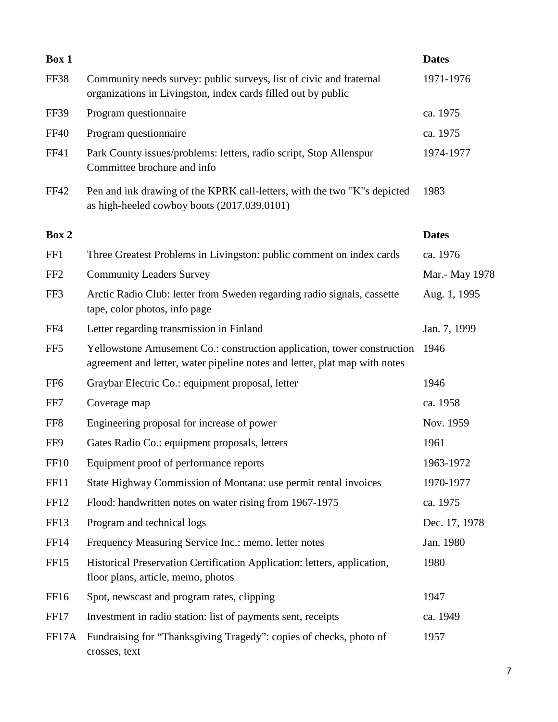| Box 1            |                                                                                                                                                       | <b>Dates</b>   |
|------------------|-------------------------------------------------------------------------------------------------------------------------------------------------------|----------------|
| FF38             | Community needs survey: public surveys, list of civic and fraternal<br>organizations in Livingston, index cards filled out by public                  | 1971-1976      |
| <b>FF39</b>      | Program questionnaire                                                                                                                                 | ca. 1975       |
| <b>FF40</b>      | Program questionnaire                                                                                                                                 | ca. 1975       |
| <b>FF41</b>      | Park County issues/problems: letters, radio script, Stop Allenspur<br>Committee brochure and info                                                     | 1974-1977      |
| <b>FF42</b>      | Pen and ink drawing of the KPRK call-letters, with the two "K"s depicted<br>as high-heeled cowboy boots (2017.039.0101)                               | 1983           |
| Box 2            |                                                                                                                                                       | <b>Dates</b>   |
| FF1              | Three Greatest Problems in Livingston: public comment on index cards                                                                                  | ca. 1976       |
| FF <sub>2</sub>  | <b>Community Leaders Survey</b>                                                                                                                       | Mar.- May 1978 |
| FF3              | Arctic Radio Club: letter from Sweden regarding radio signals, cassette<br>tape, color photos, info page                                              | Aug. 1, 1995   |
| FF4              | Letter regarding transmission in Finland                                                                                                              | Jan. 7, 1999   |
| FF <sub>5</sub>  | Yellowstone Amusement Co.: construction application, tower construction<br>agreement and letter, water pipeline notes and letter, plat map with notes | 1946           |
| FF <sub>6</sub>  | Graybar Electric Co.: equipment proposal, letter                                                                                                      | 1946           |
| FF7              | Coverage map                                                                                                                                          | ca. 1958       |
| FF <sub>8</sub>  | Engineering proposal for increase of power                                                                                                            | Nov. 1959      |
| FF9              | Gates Radio Co.: equipment proposals, letters                                                                                                         | 1961           |
| <b>FF10</b>      | Equipment proof of performance reports                                                                                                                | 1963-1972      |
| <b>FF11</b>      | State Highway Commission of Montana: use permit rental invoices                                                                                       | 1970-1977      |
| FF12             | Flood: handwritten notes on water rising from 1967-1975                                                                                               | ca. 1975       |
| FF13             | Program and technical logs                                                                                                                            | Dec. 17, 1978  |
| FF14             | Frequency Measuring Service Inc.: memo, letter notes                                                                                                  | Jan. 1980      |
| FF15             | Historical Preservation Certification Application: letters, application,<br>floor plans, article, memo, photos                                        | 1980           |
| FF <sub>16</sub> | Spot, newscast and program rates, clipping                                                                                                            | 1947           |
| FF17             | Investment in radio station: list of payments sent, receipts                                                                                          | ca. 1949       |
| FF17A            | Fundraising for "Thanksgiving Tragedy": copies of checks, photo of<br>crosses, text                                                                   | 1957           |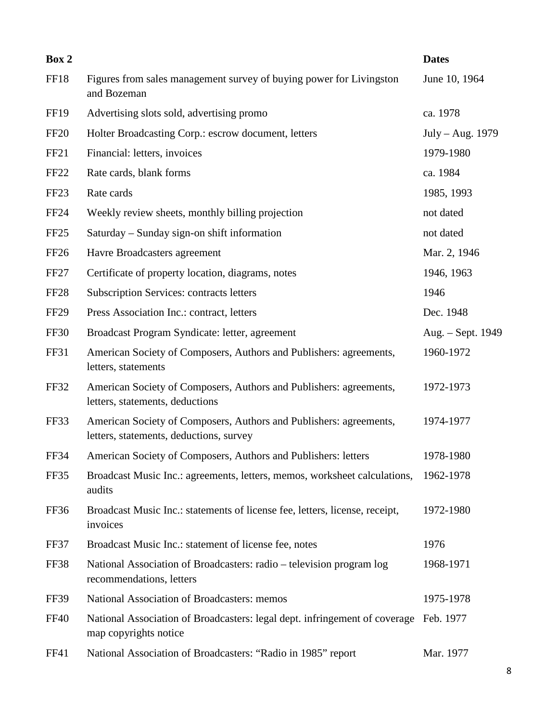| Box 2            |                                                                                                               | <b>Dates</b>      |
|------------------|---------------------------------------------------------------------------------------------------------------|-------------------|
| FF18             | Figures from sales management survey of buying power for Livingston<br>and Bozeman                            | June 10, 1964     |
| FF <sub>19</sub> | Advertising slots sold, advertising promo                                                                     | ca. 1978          |
| <b>FF20</b>      | Holter Broadcasting Corp.: escrow document, letters                                                           | July - Aug. 1979  |
| FF21             | Financial: letters, invoices                                                                                  | 1979-1980         |
| FF <sub>22</sub> | Rate cards, blank forms                                                                                       | ca. 1984          |
| FF <sub>23</sub> | Rate cards                                                                                                    | 1985, 1993        |
| FF24             | Weekly review sheets, monthly billing projection                                                              | not dated         |
| FF <sub>25</sub> | Saturday – Sunday sign-on shift information                                                                   | not dated         |
| FF <sub>26</sub> | Havre Broadcasters agreement                                                                                  | Mar. 2, 1946      |
| FF <sub>27</sub> | Certificate of property location, diagrams, notes                                                             | 1946, 1963        |
| FF <sub>28</sub> | <b>Subscription Services: contracts letters</b>                                                               | 1946              |
| FF <sub>29</sub> | Press Association Inc.: contract, letters                                                                     | Dec. 1948         |
| <b>FF30</b>      | Broadcast Program Syndicate: letter, agreement                                                                | Aug. - Sept. 1949 |
| <b>FF31</b>      | American Society of Composers, Authors and Publishers: agreements,<br>letters, statements                     | 1960-1972         |
| <b>FF32</b>      | American Society of Composers, Authors and Publishers: agreements,<br>letters, statements, deductions         | 1972-1973         |
| FF33             | American Society of Composers, Authors and Publishers: agreements,<br>letters, statements, deductions, survey | 1974-1977         |
| <b>FF34</b>      | American Society of Composers, Authors and Publishers: letters                                                | 1978-1980         |
| FF35             | Broadcast Music Inc.: agreements, letters, memos, worksheet calculations,<br>audits                           | 1962-1978         |
| FF36             | Broadcast Music Inc.: statements of license fee, letters, license, receipt,<br>invoices                       | 1972-1980         |
| FF37             | Broadcast Music Inc.: statement of license fee, notes                                                         | 1976              |
| <b>FF38</b>      | National Association of Broadcasters: radio - television program log<br>recommendations, letters              | 1968-1971         |
| FF39             | National Association of Broadcasters: memos                                                                   | 1975-1978         |
| <b>FF40</b>      | National Association of Broadcasters: legal dept. infringement of coverage<br>map copyrights notice           | Feb. 1977         |
| FF41             | National Association of Broadcasters: "Radio in 1985" report                                                  | Mar. 1977         |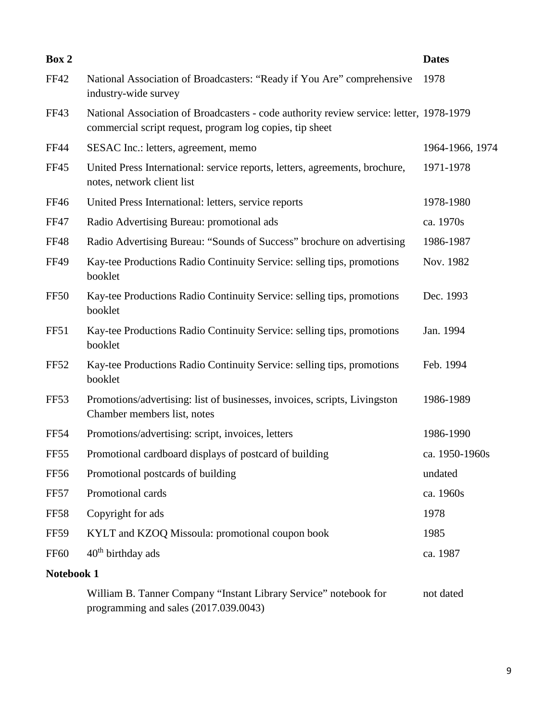| Box 2            |                                                                                                                                                     | <b>Dates</b>    |
|------------------|-----------------------------------------------------------------------------------------------------------------------------------------------------|-----------------|
| <b>FF42</b>      | National Association of Broadcasters: "Ready if You Are" comprehensive<br>industry-wide survey                                                      | 1978            |
| <b>FF43</b>      | National Association of Broadcasters - code authority review service: letter, 1978-1979<br>commercial script request, program log copies, tip sheet |                 |
| <b>FF44</b>      | SESAC Inc.: letters, agreement, memo                                                                                                                | 1964-1966, 1974 |
| <b>FF45</b>      | United Press International: service reports, letters, agreements, brochure,<br>notes, network client list                                           | 1971-1978       |
| FF46             | United Press International: letters, service reports                                                                                                | 1978-1980       |
| <b>FF47</b>      | Radio Advertising Bureau: promotional ads                                                                                                           | ca. 1970s       |
| <b>FF48</b>      | Radio Advertising Bureau: "Sounds of Success" brochure on advertising                                                                               | 1986-1987       |
| <b>FF49</b>      | Kay-tee Productions Radio Continuity Service: selling tips, promotions<br>booklet                                                                   | Nov. 1982       |
| <b>FF50</b>      | Kay-tee Productions Radio Continuity Service: selling tips, promotions<br>booklet                                                                   | Dec. 1993       |
| FF51             | Kay-tee Productions Radio Continuity Service: selling tips, promotions<br>booklet                                                                   | Jan. 1994       |
| FF52             | Kay-tee Productions Radio Continuity Service: selling tips, promotions<br>booklet                                                                   | Feb. 1994       |
| FF <sub>53</sub> | Promotions/advertising: list of businesses, invoices, scripts, Livingston<br>Chamber members list, notes                                            | 1986-1989       |
| FF54             | Promotions/advertising: script, invoices, letters                                                                                                   | 1986-1990       |
| FF55             | Promotional cardboard displays of postcard of building                                                                                              | ca. 1950-1960s  |
| <b>FF56</b>      | Promotional postcards of building                                                                                                                   | undated         |
| <b>FF57</b>      | Promotional cards                                                                                                                                   | ca. 1960s       |
| <b>FF58</b>      | Copyright for ads                                                                                                                                   | 1978            |
| <b>FF59</b>      | KYLT and KZOQ Missoula: promotional coupon book                                                                                                     | 1985            |
| <b>FF60</b>      | 40 <sup>th</sup> birthday ads                                                                                                                       | ca. 1987        |
| Notebook 1       |                                                                                                                                                     |                 |
|                  | William B. Tanner Company "Instant Library Service" notebook for                                                                                    | not dated       |

programming and sales (2017.039.0043)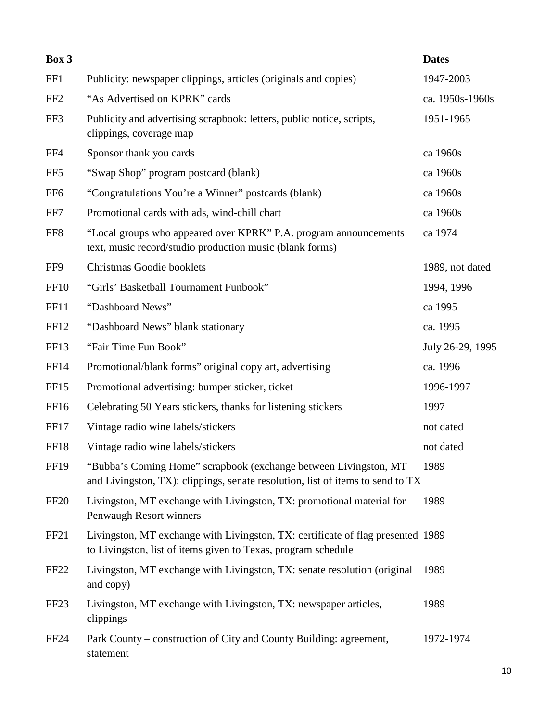| Box 3            |                                                                                                                                                    | <b>Dates</b>     |
|------------------|----------------------------------------------------------------------------------------------------------------------------------------------------|------------------|
| FF1              | Publicity: newspaper clippings, articles (originals and copies)                                                                                    | 1947-2003        |
| FF <sub>2</sub>  | "As Advertised on KPRK" cards                                                                                                                      | ca. 1950s-1960s  |
| FF3              | Publicity and advertising scrapbook: letters, public notice, scripts,<br>clippings, coverage map                                                   | 1951-1965        |
| FF4              | Sponsor thank you cards                                                                                                                            | ca 1960s         |
| FF <sub>5</sub>  | "Swap Shop" program postcard (blank)                                                                                                               | ca 1960s         |
| FF <sub>6</sub>  | "Congratulations You're a Winner" postcards (blank)                                                                                                | ca 1960s         |
| FF7              | Promotional cards with ads, wind-chill chart                                                                                                       | ca 1960s         |
| FF8              | "Local groups who appeared over KPRK" P.A. program announcements<br>text, music record/studio production music (blank forms)                       | ca 1974          |
| FF9              | Christmas Goodie booklets                                                                                                                          | 1989, not dated  |
| FF <sub>10</sub> | "Girls' Basketball Tournament Funbook"                                                                                                             | 1994, 1996       |
| <b>FF11</b>      | "Dashboard News"                                                                                                                                   | ca 1995          |
| <b>FF12</b>      | "Dashboard News" blank stationary                                                                                                                  | ca. 1995         |
| FF13             | "Fair Time Fun Book"                                                                                                                               | July 26-29, 1995 |
| <b>FF14</b>      | Promotional/blank forms" original copy art, advertising                                                                                            | ca. 1996         |
| FF <sub>15</sub> | Promotional advertising: bumper sticker, ticket                                                                                                    | 1996-1997        |
| FF16             | Celebrating 50 Years stickers, thanks for listening stickers                                                                                       | 1997             |
| FF17             | Vintage radio wine labels/stickers                                                                                                                 | not dated        |
| FF18             | Vintage radio wine labels/stickers                                                                                                                 | not dated        |
| FF19             | "Bubba's Coming Home" scrapbook (exchange between Livingston, MT<br>and Livingston, TX): clippings, senate resolution, list of items to send to TX | 1989             |
| FF <sub>20</sub> | Livingston, MT exchange with Livingston, TX: promotional material for<br>Penwaugh Resort winners                                                   | 1989             |
| FF <sub>21</sub> | Livingston, MT exchange with Livingston, TX: certificate of flag presented 1989<br>to Livingston, list of items given to Texas, program schedule   |                  |
| FF <sub>22</sub> | Livingston, MT exchange with Livingston, TX: senate resolution (original<br>and copy)                                                              | 1989             |
| FF <sub>23</sub> | Livingston, MT exchange with Livingston, TX: newspaper articles,<br>clippings                                                                      | 1989             |
| FF <sub>24</sub> | Park County – construction of City and County Building: agreement,<br>statement                                                                    | 1972-1974        |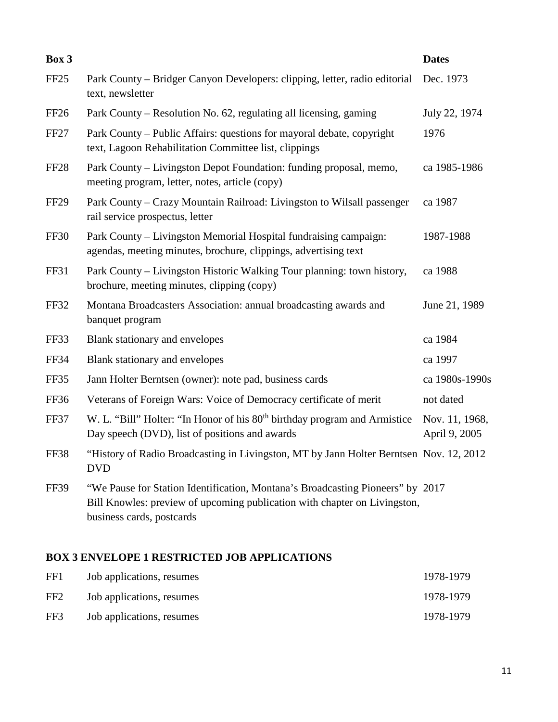| Box 3            |                                                                                                                                                                                          | <b>Dates</b>                    |
|------------------|------------------------------------------------------------------------------------------------------------------------------------------------------------------------------------------|---------------------------------|
| FF <sub>25</sub> | Park County – Bridger Canyon Developers: clipping, letter, radio editorial<br>text, newsletter                                                                                           | Dec. 1973                       |
| FF <sub>26</sub> | Park County – Resolution No. 62, regulating all licensing, gaming                                                                                                                        | July 22, 1974                   |
| FF <sub>27</sub> | Park County – Public Affairs: questions for mayoral debate, copyright<br>text, Lagoon Rehabilitation Committee list, clippings                                                           | 1976                            |
| <b>FF28</b>      | Park County – Livingston Depot Foundation: funding proposal, memo,<br>meeting program, letter, notes, article (copy)                                                                     | ca 1985-1986                    |
| <b>FF29</b>      | Park County – Crazy Mountain Railroad: Livingston to Wilsall passenger<br>rail service prospectus, letter                                                                                | ca 1987                         |
| <b>FF30</b>      | Park County – Livingston Memorial Hospital fundraising campaign:<br>agendas, meeting minutes, brochure, clippings, advertising text                                                      | 1987-1988                       |
| FF31             | Park County - Livingston Historic Walking Tour planning: town history,<br>brochure, meeting minutes, clipping (copy)                                                                     | ca 1988                         |
| FF32             | Montana Broadcasters Association: annual broadcasting awards and<br>banquet program                                                                                                      | June 21, 1989                   |
| FF33             | Blank stationary and envelopes                                                                                                                                                           | ca 1984                         |
| FF34             | Blank stationary and envelopes                                                                                                                                                           | ca 1997                         |
| FF35             | Jann Holter Berntsen (owner): note pad, business cards                                                                                                                                   | ca 1980s-1990s                  |
| FF36             | Veterans of Foreign Wars: Voice of Democracy certificate of merit                                                                                                                        | not dated                       |
| FF37             | W. L. "Bill" Holter: "In Honor of his 80 <sup>th</sup> birthday program and Armistice<br>Day speech (DVD), list of positions and awards                                                  | Nov. 11, 1968,<br>April 9, 2005 |
| <b>FF38</b>      | "History of Radio Broadcasting in Livingston, MT by Jann Holter Berntsen Nov. 12, 2012<br><b>DVD</b>                                                                                     |                                 |
| <b>FF39</b>      | "We Pause for Station Identification, Montana's Broadcasting Pioneers" by 2017<br>Bill Knowles: preview of upcoming publication with chapter on Livingston,<br>business cards, postcards |                                 |
|                  |                                                                                                                                                                                          |                                 |

# **BOX 3 ENVELOPE 1 RESTRICTED JOB APPLICATIONS**

| FF1             | Job applications, resumes | 1978-1979 |
|-----------------|---------------------------|-----------|
| FF <sub>2</sub> | Job applications, resumes | 1978-1979 |
| FF3             | Job applications, resumes | 1978-1979 |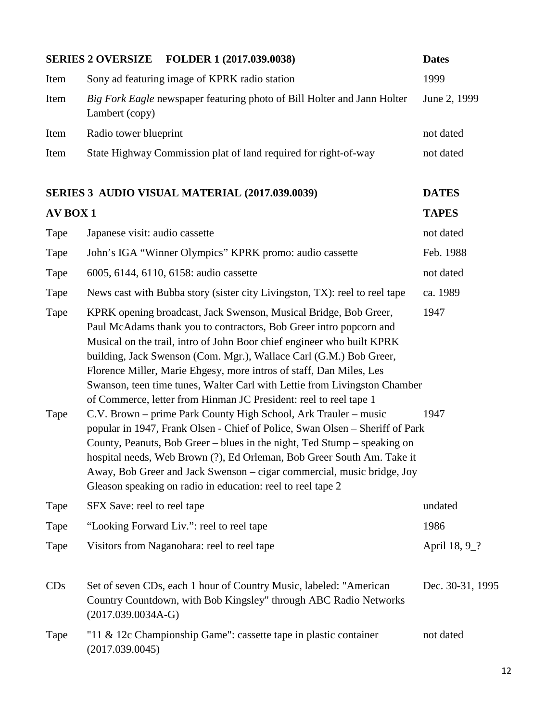|                 | <b>SERIES 2 OVERSIZE</b><br>FOLDER 1 (2017.039.0038)                                                                                                                                                                                                                                                                                                                                                                                                                                                                                                                                                                                                                                                                                                                                                                                                                                                                                                              | <b>Dates</b>             |
|-----------------|-------------------------------------------------------------------------------------------------------------------------------------------------------------------------------------------------------------------------------------------------------------------------------------------------------------------------------------------------------------------------------------------------------------------------------------------------------------------------------------------------------------------------------------------------------------------------------------------------------------------------------------------------------------------------------------------------------------------------------------------------------------------------------------------------------------------------------------------------------------------------------------------------------------------------------------------------------------------|--------------------------|
| Item            | Sony ad featuring image of KPRK radio station                                                                                                                                                                                                                                                                                                                                                                                                                                                                                                                                                                                                                                                                                                                                                                                                                                                                                                                     | 1999                     |
| Item            | Big Fork Eagle newspaper featuring photo of Bill Holter and Jann Holter<br>Lambert (copy)                                                                                                                                                                                                                                                                                                                                                                                                                                                                                                                                                                                                                                                                                                                                                                                                                                                                         | June 2, 1999             |
| Item            | Radio tower blueprint                                                                                                                                                                                                                                                                                                                                                                                                                                                                                                                                                                                                                                                                                                                                                                                                                                                                                                                                             | not dated                |
| Item            | State Highway Commission plat of land required for right-of-way                                                                                                                                                                                                                                                                                                                                                                                                                                                                                                                                                                                                                                                                                                                                                                                                                                                                                                   | not dated                |
|                 | SERIES 3 AUDIO VISUAL MATERIAL (2017.039.0039)                                                                                                                                                                                                                                                                                                                                                                                                                                                                                                                                                                                                                                                                                                                                                                                                                                                                                                                    | <b>DATES</b>             |
| <b>AV BOX 1</b> |                                                                                                                                                                                                                                                                                                                                                                                                                                                                                                                                                                                                                                                                                                                                                                                                                                                                                                                                                                   | <b>TAPES</b>             |
| Tape            | Japanese visit: audio cassette                                                                                                                                                                                                                                                                                                                                                                                                                                                                                                                                                                                                                                                                                                                                                                                                                                                                                                                                    | not dated                |
| Tape            | John's IGA "Winner Olympics" KPRK promo: audio cassette                                                                                                                                                                                                                                                                                                                                                                                                                                                                                                                                                                                                                                                                                                                                                                                                                                                                                                           | Feb. 1988                |
| Tape            | 6005, 6144, 6110, 6158: audio cassette                                                                                                                                                                                                                                                                                                                                                                                                                                                                                                                                                                                                                                                                                                                                                                                                                                                                                                                            | not dated                |
| Tape            | News cast with Bubba story (sister city Livingston, TX): reel to reel tape                                                                                                                                                                                                                                                                                                                                                                                                                                                                                                                                                                                                                                                                                                                                                                                                                                                                                        | ca. 1989                 |
| Tape<br>Tape    | KPRK opening broadcast, Jack Swenson, Musical Bridge, Bob Greer,<br>Paul McAdams thank you to contractors, Bob Greer intro popcorn and<br>Musical on the trail, intro of John Boor chief engineer who built KPRK<br>building, Jack Swenson (Com. Mgr.), Wallace Carl (G.M.) Bob Greer,<br>Florence Miller, Marie Ehgesy, more intros of staff, Dan Miles, Les<br>Swanson, teen time tunes, Walter Carl with Lettie from Livingston Chamber<br>of Commerce, letter from Hinman JC President: reel to reel tape 1<br>C.V. Brown – prime Park County High School, Ark Trauler – music<br>popular in 1947, Frank Olsen - Chief of Police, Swan Olsen - Sheriff of Park<br>County, Peanuts, Bob Greer – blues in the night, Ted Stump – speaking on<br>hospital needs, Web Brown (?), Ed Orleman, Bob Greer South Am. Take it<br>Away, Bob Greer and Jack Swenson – cigar commercial, music bridge, Joy<br>Gleason speaking on radio in education: reel to reel tape 2 | 1947<br>1947             |
| Tape            | SFX Save: reel to reel tape                                                                                                                                                                                                                                                                                                                                                                                                                                                                                                                                                                                                                                                                                                                                                                                                                                                                                                                                       | undated                  |
| Tape            | "Looking Forward Liv.": reel to reel tape                                                                                                                                                                                                                                                                                                                                                                                                                                                                                                                                                                                                                                                                                                                                                                                                                                                                                                                         | 1986                     |
| Tape            | Visitors from Naganohara: reel to reel tape                                                                                                                                                                                                                                                                                                                                                                                                                                                                                                                                                                                                                                                                                                                                                                                                                                                                                                                       | April 18, 9 <sup>2</sup> |
| CDs             | Set of seven CDs, each 1 hour of Country Music, labeled: "American<br>Country Countdown, with Bob Kingsley" through ABC Radio Networks<br>$(2017.039.0034A-G)$                                                                                                                                                                                                                                                                                                                                                                                                                                                                                                                                                                                                                                                                                                                                                                                                    | Dec. 30-31, 1995         |
| Tape            | "11 & 12c Championship Game": cassette tape in plastic container<br>(2017.039.0045)                                                                                                                                                                                                                                                                                                                                                                                                                                                                                                                                                                                                                                                                                                                                                                                                                                                                               | not dated                |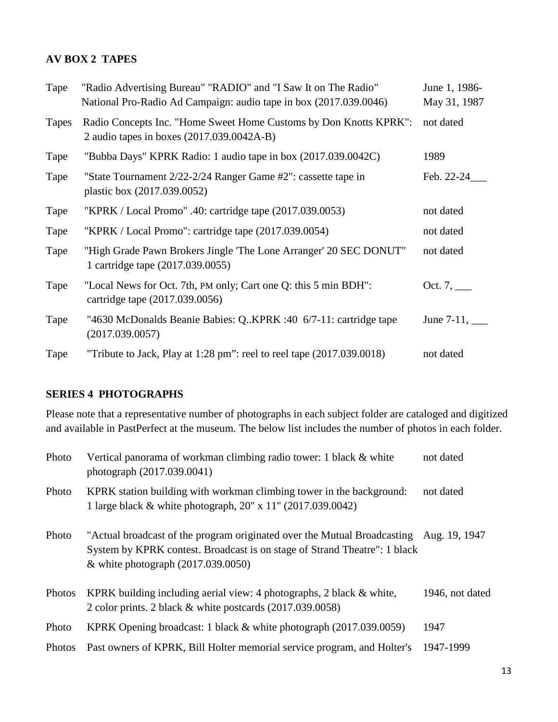### **AV BOX 2 TAPES**

| Tape  | "Radio Advertising Bureau" "RADIO" and "I Saw It on The Radio"<br>National Pro-Radio Ad Campaign: audio tape in box (2017.039.0046) | June 1, 1986-<br>May 31, 1987 |
|-------|-------------------------------------------------------------------------------------------------------------------------------------|-------------------------------|
| Tapes | Radio Concepts Inc. "Home Sweet Home Customs by Don Knotts KPRK":<br>2 audio tapes in boxes (2017.039.0042A-B)                      | not dated                     |
| Tape  | "Bubba Days" KPRK Radio: 1 audio tape in box (2017.039.0042C)                                                                       | 1989                          |
| Tape  | "State Tournament 2/22-2/24 Ranger Game #2": cassette tape in<br>plastic box (2017.039.0052)                                        | Feb. 22-24                    |
| Tape  | "KPRK / Local Promo" .40: cartridge tape (2017.039.0053)                                                                            | not dated                     |
| Tape  | "KPRK / Local Promo": cartridge tape (2017.039.0054)                                                                                | not dated                     |
| Tape  | "High Grade Pawn Brokers Jingle 'The Lone Arranger' 20 SEC DONUT"<br>1 cartridge tape (2017.039.0055)                               | not dated                     |
| Tape  | "Local News for Oct. 7th, PM only; Cart one Q: this 5 min BDH":<br>cartridge tape (2017.039.0056)                                   | Oct. 7, $\_\_$                |
| Tape  | "4630 McDonalds Beanie Babies: QKPRK :40 6/7-11: cartridge tape<br>(2017.039.0057)                                                  | June 7-11, $\_\_$             |
| Tape  | "Tribute to Jack, Play at 1:28 pm": reel to reel tape $(2017.039.0018)$                                                             | not dated                     |

## **SERIES 4 PHOTOGRAPHS**

Please note that a representative number of photographs in each subject folder are cataloged and digitized and available in PastPerfect at the museum. The below list includes the number of photos in each folder.

| Photo  | Vertical panorama of workman climbing radio tower: 1 black & white<br>photograph (2017.039.0041)                                                                                                            | not dated       |
|--------|-------------------------------------------------------------------------------------------------------------------------------------------------------------------------------------------------------------|-----------------|
| Photo  | KPRK station building with workman climbing tower in the background:<br>1 large black & white photograph, 20" x 11" (2017.039.0042)                                                                         | not dated       |
| Photo  | "Actual broadcast of the program originated over the Mutual Broadcasting Aug. 19, 1947<br>System by KPRK contest. Broadcast is on stage of Strand Theatre": 1 black<br>& white photograph $(2017.039.0050)$ |                 |
| Photos | KPRK building including aerial view: 4 photographs, 2 black $\&$ white,<br>2 color prints. 2 black & white postcards (2017.039.0058)                                                                        | 1946, not dated |
| Photo  | KPRK Opening broadcast: 1 black $&$ white photograph (2017.039.0059)                                                                                                                                        | 1947            |
| Photos | Past owners of KPRK, Bill Holter memorial service program, and Holter's                                                                                                                                     | 1947-1999       |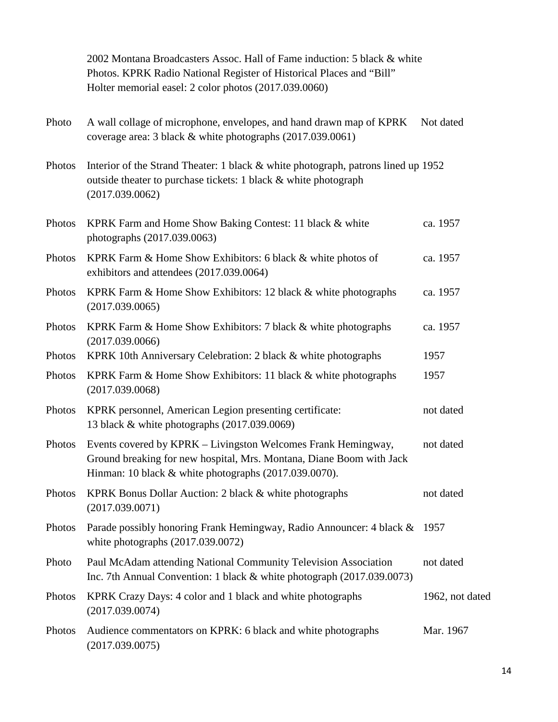|        | 2002 Montana Broadcasters Assoc. Hall of Fame induction: 5 black & white<br>Photos. KPRK Radio National Register of Historical Places and "Bill"<br>Holter memorial easel: 2 color photos (2017.039.0060) |                 |
|--------|-----------------------------------------------------------------------------------------------------------------------------------------------------------------------------------------------------------|-----------------|
| Photo  | A wall collage of microphone, envelopes, and hand drawn map of KPRK<br>coverage area: 3 black & white photographs (2017.039.0061)                                                                         | Not dated       |
| Photos | Interior of the Strand Theater: 1 black & white photograph, patrons lined up 1952<br>outside theater to purchase tickets: 1 black & white photograph<br>(2017.039.0062)                                   |                 |
| Photos | KPRK Farm and Home Show Baking Contest: 11 black & white<br>photographs (2017.039.0063)                                                                                                                   | ca. 1957        |
| Photos | KPRK Farm & Home Show Exhibitors: 6 black & white photos of<br>exhibitors and attendees (2017.039.0064)                                                                                                   | ca. 1957        |
| Photos | KPRK Farm & Home Show Exhibitors: 12 black & white photographs<br>(2017.039.0065)                                                                                                                         | ca. 1957        |
| Photos | KPRK Farm & Home Show Exhibitors: 7 black & white photographs<br>(2017.039.0066)                                                                                                                          | ca. 1957        |
| Photos | KPRK 10th Anniversary Celebration: 2 black & white photographs                                                                                                                                            | 1957            |
| Photos | KPRK Farm & Home Show Exhibitors: 11 black & white photographs<br>(2017.039.0068)                                                                                                                         | 1957            |
| Photos | KPRK personnel, American Legion presenting certificate:<br>13 black & white photographs (2017.039.0069)                                                                                                   | not dated       |
| Photos | Events covered by KPRK – Livingston Welcomes Frank Hemingway,<br>Ground breaking for new hospital, Mrs. Montana, Diane Boom with Jack<br>Hinman: 10 black & white photographs (2017.039.0070).            | not dated       |
| Photos | KPRK Bonus Dollar Auction: 2 black & white photographs<br>(2017.039.0071)                                                                                                                                 | not dated       |
| Photos | Parade possibly honoring Frank Hemingway, Radio Announcer: 4 black &<br>white photographs $(2017.039.0072)$                                                                                               | 1957            |
| Photo  | Paul McAdam attending National Community Television Association<br>Inc. 7th Annual Convention: 1 black $&$ white photograph (2017.039.0073)                                                               | not dated       |
| Photos | KPRK Crazy Days: 4 color and 1 black and white photographs<br>(2017.039.0074)                                                                                                                             | 1962, not dated |
| Photos | Audience commentators on KPRK: 6 black and white photographs<br>(2017.039.0075)                                                                                                                           | Mar. 1967       |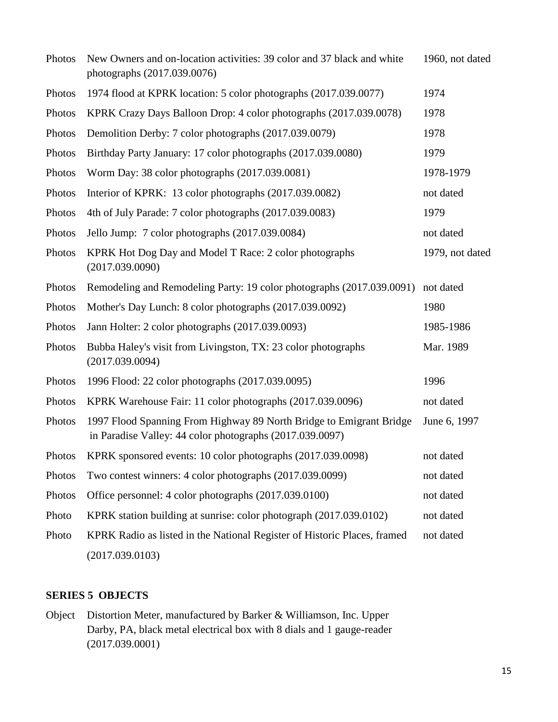| Photos | New Owners and on-location activities: 39 color and 37 black and white<br>photographs (2017.039.0076)                           | 1960, not dated |
|--------|---------------------------------------------------------------------------------------------------------------------------------|-----------------|
| Photos | 1974 flood at KPRK location: 5 color photographs (2017.039.0077)                                                                | 1974            |
| Photos | KPRK Crazy Days Balloon Drop: 4 color photographs (2017.039.0078)                                                               | 1978            |
| Photos | Demolition Derby: 7 color photographs (2017.039.0079)                                                                           | 1978            |
| Photos | Birthday Party January: 17 color photographs (2017.039.0080)                                                                    | 1979            |
| Photos | Worm Day: 38 color photographs (2017.039.0081)                                                                                  | 1978-1979       |
| Photos | Interior of KPRK: 13 color photographs (2017.039.0082)                                                                          | not dated       |
| Photos | 4th of July Parade: 7 color photographs (2017.039.0083)                                                                         | 1979            |
| Photos | Jello Jump: 7 color photographs (2017.039.0084)                                                                                 | not dated       |
| Photos | KPRK Hot Dog Day and Model T Race: 2 color photographs<br>(2017.039.0090)                                                       | 1979, not dated |
| Photos | Remodeling and Remodeling Party: 19 color photographs (2017.039.0091)                                                           | not dated       |
| Photos | Mother's Day Lunch: 8 color photographs (2017.039.0092)                                                                         | 1980            |
| Photos | Jann Holter: 2 color photographs (2017.039.0093)                                                                                | 1985-1986       |
| Photos | Bubba Haley's visit from Livingston, TX: 23 color photographs<br>(2017.039.0094)                                                | Mar. 1989       |
| Photos | 1996 Flood: 22 color photographs (2017.039.0095)                                                                                | 1996            |
| Photos | KPRK Warehouse Fair: 11 color photographs (2017.039.0096)                                                                       | not dated       |
| Photos | 1997 Flood Spanning From Highway 89 North Bridge to Emigrant Bridge<br>in Paradise Valley: 44 color photographs (2017.039.0097) | June 6, 1997    |
| Photos | KPRK sponsored events: 10 color photographs (2017.039.0098)                                                                     | not dated       |
| Photos | Two contest winners: 4 color photographs (2017.039.0099)                                                                        | not dated       |
| Photos | Office personnel: 4 color photographs (2017.039.0100)                                                                           | not dated       |
| Photo  | KPRK station building at sunrise: color photograph (2017.039.0102)                                                              | not dated       |
| Photo  | KPRK Radio as listed in the National Register of Historic Places, framed                                                        | not dated       |
|        | (2017.039.0103)                                                                                                                 |                 |

## **SERIES 5 OBJECTS**

Object Distortion Meter, manufactured by Barker & Williamson, Inc. Upper Darby, PA, black metal electrical box with 8 dials and 1 gauge-reader (2017.039.0001)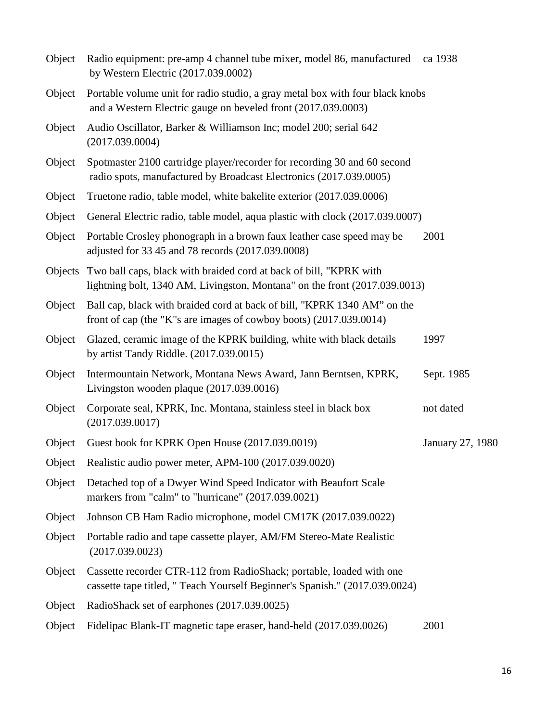| Object | Radio equipment: pre-amp 4 channel tube mixer, model 86, manufactured<br>by Western Electric (2017.039.0002)                                             | ca 1938          |
|--------|----------------------------------------------------------------------------------------------------------------------------------------------------------|------------------|
| Object | Portable volume unit for radio studio, a gray metal box with four black knobs<br>and a Western Electric gauge on beveled front (2017.039.0003)           |                  |
| Object | Audio Oscillator, Barker & Williamson Inc; model 200; serial 642<br>(2017.039.0004)                                                                      |                  |
| Object | Spotmaster 2100 cartridge player/recorder for recording 30 and 60 second<br>radio spots, manufactured by Broadcast Electronics (2017.039.0005)           |                  |
| Object | Truetone radio, table model, white bakelite exterior (2017.039.0006)                                                                                     |                  |
| Object | General Electric radio, table model, aqua plastic with clock (2017.039.0007)                                                                             |                  |
| Object | Portable Crosley phonograph in a brown faux leather case speed may be<br>adjusted for 33 45 and 78 records (2017.039.0008)                               | 2001             |
|        | Objects Two ball caps, black with braided cord at back of bill, "KPRK with<br>lightning bolt, 1340 AM, Livingston, Montana" on the front (2017.039.0013) |                  |
| Object | Ball cap, black with braided cord at back of bill, "KPRK 1340 AM" on the<br>front of cap (the "K"s are images of cowboy boots) (2017.039.0014)           |                  |
| Object | Glazed, ceramic image of the KPRK building, white with black details<br>by artist Tandy Riddle. (2017.039.0015)                                          | 1997             |
| Object | Intermountain Network, Montana News Award, Jann Berntsen, KPRK,<br>Livingston wooden plaque (2017.039.0016)                                              | Sept. 1985       |
| Object | Corporate seal, KPRK, Inc. Montana, stainless steel in black box<br>(2017.039.0017)                                                                      | not dated        |
| Object | Guest book for KPRK Open House (2017.039.0019)                                                                                                           | January 27, 1980 |
|        | Object Realistic audio power meter, APM-100 (2017.039.0020)                                                                                              |                  |
| Object | Detached top of a Dwyer Wind Speed Indicator with Beaufort Scale<br>markers from "calm" to "hurricane" (2017.039.0021)                                   |                  |
| Object | Johnson CB Ham Radio microphone, model CM17K (2017.039.0022)                                                                                             |                  |
| Object | Portable radio and tape cassette player, AM/FM Stereo-Mate Realistic<br>(2017.039.0023)                                                                  |                  |
| Object | Cassette recorder CTR-112 from RadioShack; portable, loaded with one<br>cassette tape titled, " Teach Yourself Beginner's Spanish." (2017.039.0024)      |                  |
| Object | RadioShack set of earphones (2017.039.0025)                                                                                                              |                  |
| Object | Fidelipac Blank-IT magnetic tape eraser, hand-held (2017.039.0026)                                                                                       | 2001             |